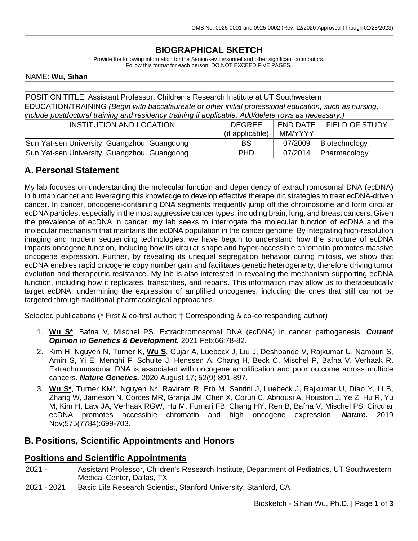# **BIOGRAPHICAL SKETCH**

Provide the following information for the Senior/key personnel and other significant contributors. Follow this format for each person. DO NOT EXCEED FIVE PAGES.

#### NAME: **Wu, Sihan**

| POSITION TITLE: Assistant Professor, Children's Research Institute at UT Southwestern                  |  |  |
|--------------------------------------------------------------------------------------------------------|--|--|
| EDUCATION/TRAINING (Begin with baccalaureate or other initial professional education, such as nursing, |  |  |
| include postdoctoral training and residency training if applicable. Add/delete rows as necessary.)     |  |  |
|                                                                                                        |  |  |

| INSTITUTION AND LOCATION                     | <b>DEGREE</b>   | END DATE | <b>FIELD OF STUDY</b> |
|----------------------------------------------|-----------------|----------|-----------------------|
|                                              | (if applicable) | MM/YYYY  |                       |
| Sun Yat-sen University, Guangzhou, Guangdong | BS.             | 07/2009  | Biotechnology         |
| Sun Yat-sen University, Guangzhou, Guangdong | <b>PHD</b>      | 07/2014  | Pharmacology          |

## **A. Personal Statement**

My lab focuses on understanding the molecular function and dependency of extrachromosomal DNA (ecDNA) in human cancer and leveraging this knowledge to develop effective therapeutic strategies to treat ecDNA-driven cancer. In cancer, oncogene-containing DNA segments frequently jump off the chromosome and form circular ecDNA particles, especially in the most aggressive cancer types, including brain, lung, and breast cancers. Given the prevalence of ecDNA in cancer, my lab seeks to interrogate the molecular function of ecDNA and the molecular mechanism that maintains the ecDNA population in the cancer genome. By integrating high-resolution imaging and modern sequencing technologies, we have begun to understand how the structure of ecDNA impacts oncogene function, including how its circular shape and hyper-accessible chromatin promotes massive oncogene expression. Further, by revealing its unequal segregation behavior during mitosis, we show that ecDNA enables rapid oncogene copy number gain and facilitates genetic heterogeneity, therefore driving tumor evolution and therapeutic resistance. My lab is also interested in revealing the mechanism supporting ecDNA function, including how it replicates, transcribes, and repairs. This information may allow us to therapeutically target ecDNA, undermining the expression of amplified oncogenes, including the ones that still cannot be targeted through traditional pharmacological approaches.

Selected publications (\* First & co-first author; † Corresponding & co-corresponding author)

- 1. **Wu S\***, Bafna V, Mischel PS. Extrachromosomal DNA (ecDNA) in cancer pathogenesis. *Current Opinion in Genetics & Development.* 2021 Feb;66:78-82.
- 2. Kim H, Nguyen N, Turner K, **Wu S**, Gujar A, Luebeck J, Liu J, Deshpande V, Rajkumar U, Namburi S, Amin S, Yi E, Menghi F, Schulte J, Henssen A, Chang H, Beck C, Mischel P, Bafna V, Verhaak R. Extrachromosomal DNA is associated with oncogene amplification and poor outcome across multiple cancers. *Nature Genetics.* 2020 August 17; 52(9):891-897.
- 3. **Wu S\***, Turner KM\*, Nguyen N\*, Raviram R, Erb M, Santini J, Luebeck J, Rajkumar U, Diao Y, Li B, Zhang W, Jameson N, Corces MR, Granja JM, Chen X, Coruh C, Abnousi A, Houston J, Ye Z, Hu R, Yu M, Kim H, Law JA, Verhaak RGW, Hu M, Furnari FB, Chang HY, Ren B, Bafna V, Mischel PS. Circular ecDNA promotes accessible chromatin and high oncogene expression. *Nature.* 2019 Nov;575(7784):699-703.

### **B. Positions, Scientific Appointments and Honors**

### **Positions and Scientific Appointments**

- 2021 Assistant Professor, Children's Research Institute, Department of Pediatrics, UT Southwestern Medical Center, Dallas, TX
- 2021 2021 Basic Life Research Scientist, Stanford University, Stanford, CA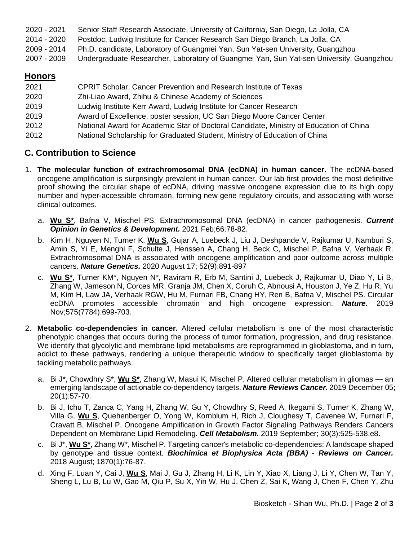| 2020 - 2021 | Senior Staff Research Associate, University of California, San Diego, La Jolla, CA |  |  |  |
|-------------|------------------------------------------------------------------------------------|--|--|--|
|-------------|------------------------------------------------------------------------------------|--|--|--|

- 2014 2020 Postdoc, Ludwig Institute for Cancer Research San Diego Branch, La Jolla, CA
- 2009 2014 Ph.D. candidate, Laboratory of Guangmei Yan, Sun Yat-sen University, Guangzhou
- 2007 2009 Undergraduate Researcher, Laboratory of Guangmei Yan, Sun Yat-sen University, Guangzhou

# **Honors**

| 2021 | <b>CPRIT Scholar, Cancer Prevention and Research Institute of Texas</b>                |
|------|----------------------------------------------------------------------------------------|
| 2020 | Zhi-Liao Award, Zhihu & Chinese Academy of Sciences                                    |
| 2019 | Ludwig Institute Kerr Award, Ludwig Institute for Cancer Research                      |
| 2019 | Award of Excellence, poster session, UC San Diego Moore Cancer Center                  |
| 2012 | National Award for Academic Star of Doctoral Candidate, Ministry of Education of China |
| 2012 | National Scholarship for Graduated Student, Ministry of Education of China             |

# **C. Contribution to Science**

- 1. **The molecular function of extrachromosomal DNA (ecDNA) in human cancer.** The ecDNA-based oncogene amplification is surprisingly prevalent in human cancer. Our lab first provides the most definitive proof showing the circular shape of ecDNA, driving massive oncogene expression due to its high copy number and hyper-accessible chromatin, forming new gene regulatory circuits, and associating with worse clinical outcomes.
	- a. **Wu S\***, Bafna V, Mischel PS. Extrachromosomal DNA (ecDNA) in cancer pathogenesis. *Current Opinion in Genetics & Development.* 2021 Feb;66:78-82.
	- b. Kim H, Nguyen N, Turner K, **Wu S**, Gujar A, Luebeck J, Liu J, Deshpande V, Rajkumar U, Namburi S, Amin S, Yi E, Menghi F, Schulte J, Henssen A, Chang H, Beck C, Mischel P, Bafna V, Verhaak R. Extrachromosomal DNA is associated with oncogene amplification and poor outcome across multiple cancers. *Nature Genetics.* 2020 August 17; 52(9):891-897
	- c. **Wu S\***, Turner KM\*, Nguyen N\*, Raviram R, Erb M, Santini J, Luebeck J, Rajkumar U, Diao Y, Li B, Zhang W, Jameson N, Corces MR, Granja JM, Chen X, Coruh C, Abnousi A, Houston J, Ye Z, Hu R, Yu M, Kim H, Law JA, Verhaak RGW, Hu M, Furnari FB, Chang HY, Ren B, Bafna V, Mischel PS. Circular ecDNA promotes accessible chromatin and high oncogene expression. *Nature.* 2019 Nov;575(7784):699-703.
- 2. **Metabolic co-dependencies in cancer.** Altered cellular metabolism is one of the most characteristic phenotypic changes that occurs during the process of tumor formation, progression, and drug resistance. We identify that glycolytic and membrane lipid metabolisms are reprogrammed in glioblastoma, and in turn, addict to these pathways, rendering a unique therapeutic window to specifically target glioblastoma by tackling metabolic pathways.
	- a. Bi J\*, Chowdhry S\*, **Wu S\***, Zhang W, Masui K, Mischel P. Altered cellular metabolism in gliomas an emerging landscape of actionable co-dependency targets. *Nature Reviews Cancer.* 2019 December 05; 20(1):57-70.
	- b. Bi J, Ichu T, Zanca C, Yang H, Zhang W, Gu Y, Chowdhry S, Reed A, Ikegami S, Turner K, Zhang W, Villa G, **Wu S**, Quehenberger O, Yong W, Kornblum H, Rich J, Cloughesy T, Cavenee W, Furnari F, Cravatt B, Mischel P. Oncogene Amplification in Growth Factor Signaling Pathways Renders Cancers Dependent on Membrane Lipid Remodeling. *Cell Metabolism.* 2019 September; 30(3):525-538.e8.
	- c. Bi J\*, **Wu S\***, Zhang W\*, Mischel P. Targeting cancer's metabolic co-dependencies: A landscape shaped by genotype and tissue context. *Biochimica et Biophysica Acta (BBA) - Reviews on Cancer.* 2018 August; 1870(1):76-87.
	- d. Xing F, Luan Y, Cai J, **Wu S**, Mai J, Gu J, Zhang H, Li K, Lin Y, Xiao X, Liang J, Li Y, Chen W, Tan Y, Sheng L, Lu B, Lu W, Gao M, Qiu P, Su X, Yin W, Hu J, Chen Z, Sai K, Wang J, Chen F, Chen Y, Zhu